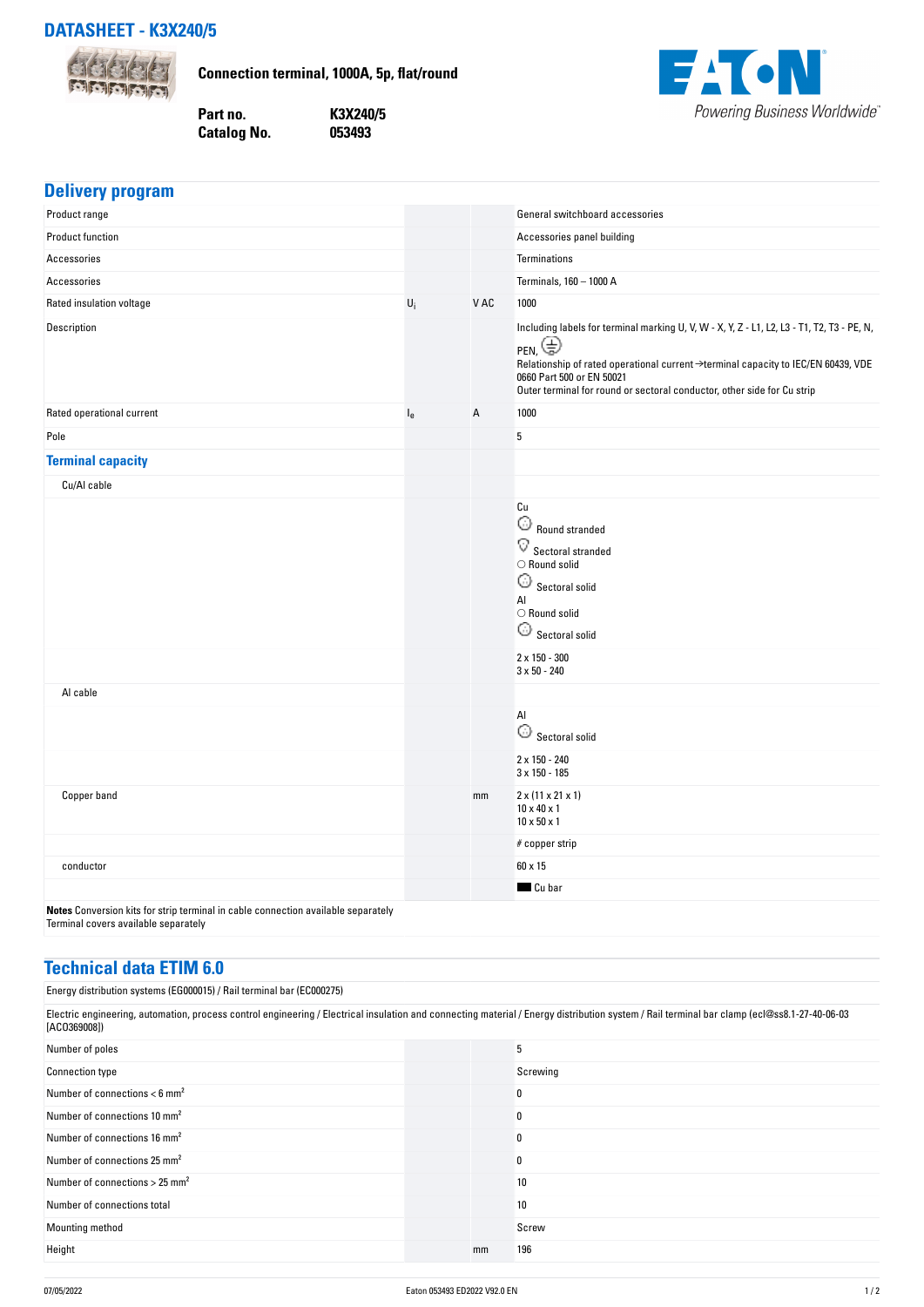

**Connection terminal, 1000A, 5p, flat/round**



| Part no.    | K3X240/5 |
|-------------|----------|
| Catalog No. | 053493   |

| <b>Delivery program</b>                                                                                                   |         |      |                                                                                                                                                                                                                                                                                                             |
|---------------------------------------------------------------------------------------------------------------------------|---------|------|-------------------------------------------------------------------------------------------------------------------------------------------------------------------------------------------------------------------------------------------------------------------------------------------------------------|
| Product range                                                                                                             |         |      | General switchboard accessories                                                                                                                                                                                                                                                                             |
| Product function                                                                                                          |         |      | Accessories panel building                                                                                                                                                                                                                                                                                  |
| Accessories                                                                                                               |         |      | Terminations                                                                                                                                                                                                                                                                                                |
| Accessories                                                                                                               |         |      | Terminals, 160 - 1000 A                                                                                                                                                                                                                                                                                     |
| Rated insulation voltage                                                                                                  | $U_i$   | V AC | 1000                                                                                                                                                                                                                                                                                                        |
| Description                                                                                                               |         |      | Including labels for terminal marking U, V, W - X, Y, Z - L1, L2, L3 - T1, T2, T3 - PE, N,<br>PEN, $\bigoplus$<br>Relationship of rated operational current →terminal capacity to IEC/EN 60439, VDE<br>0660 Part 500 or EN 50021<br>Outer terminal for round or sectoral conductor, other side for Cu strip |
| Rated operational current                                                                                                 | $I_{e}$ | Α    | 1000                                                                                                                                                                                                                                                                                                        |
| Pole                                                                                                                      |         |      | 5                                                                                                                                                                                                                                                                                                           |
| <b>Terminal capacity</b>                                                                                                  |         |      |                                                                                                                                                                                                                                                                                                             |
| Cu/Al cable                                                                                                               |         |      |                                                                                                                                                                                                                                                                                                             |
|                                                                                                                           |         |      | Cu<br>$\widehat{\omega}$ Round stranded<br>$\overline{\mathbf{V}}$ Sectoral stranded<br>$\bigcirc$ Round solid<br>$_{\odot}$<br>Sectoral solid<br>Al<br>$\bigcirc$ Round solid<br>$\bigcirc$ Sectoral solid<br>$2 \times 150 - 300$                                                                         |
|                                                                                                                           |         |      | $3 \times 50 - 240$                                                                                                                                                                                                                                                                                         |
| Al cable                                                                                                                  |         |      |                                                                                                                                                                                                                                                                                                             |
|                                                                                                                           |         |      | Al                                                                                                                                                                                                                                                                                                          |
|                                                                                                                           |         |      | 2 x 150 - 240<br>$3 \times 150 - 185$                                                                                                                                                                                                                                                                       |
| Copper band                                                                                                               |         | mm   | $2 \times (11 \times 21 \times 1)$<br>$10 \times 40 \times 1$<br>$10 \times 50 \times 1$                                                                                                                                                                                                                    |
|                                                                                                                           |         |      | # copper strip                                                                                                                                                                                                                                                                                              |
| conductor                                                                                                                 |         |      | 60 x 15                                                                                                                                                                                                                                                                                                     |
|                                                                                                                           |         |      | Cu bar                                                                                                                                                                                                                                                                                                      |
| Notes Conversion kits for strip terminal in cable connection available separately<br>Terminal covers available separately |         |      |                                                                                                                                                                                                                                                                                                             |

## **Technical data ETIM 6.0**

Energy distribution systems (EG000015) / Rail terminal bar (EC000275)

| Electric engineering, automation, process control engineering / Electrical insulation and connecting material / Energy distribution system / Rail terminal bar clamp (ecl@ss8.1-27-40-06-03<br>[AC0369008]) |    |          |  |  |
|-------------------------------------------------------------------------------------------------------------------------------------------------------------------------------------------------------------|----|----------|--|--|
| Number of poles                                                                                                                                                                                             |    | 5        |  |  |
| <b>Connection type</b>                                                                                                                                                                                      |    | Screwing |  |  |
| Number of connections $<$ 6 mm <sup>2</sup>                                                                                                                                                                 |    | 0        |  |  |
| Number of connections 10 mm <sup>2</sup>                                                                                                                                                                    |    | 0        |  |  |
| Number of connections 16 mm <sup>2</sup>                                                                                                                                                                    |    | 0        |  |  |
| Number of connections 25 mm <sup>2</sup>                                                                                                                                                                    |    | 0        |  |  |
| Number of connections $> 25$ mm <sup>2</sup>                                                                                                                                                                |    | 10       |  |  |
| Number of connections total                                                                                                                                                                                 |    | 10       |  |  |
| Mounting method                                                                                                                                                                                             |    | Screw    |  |  |
| Height                                                                                                                                                                                                      | mm | 196      |  |  |